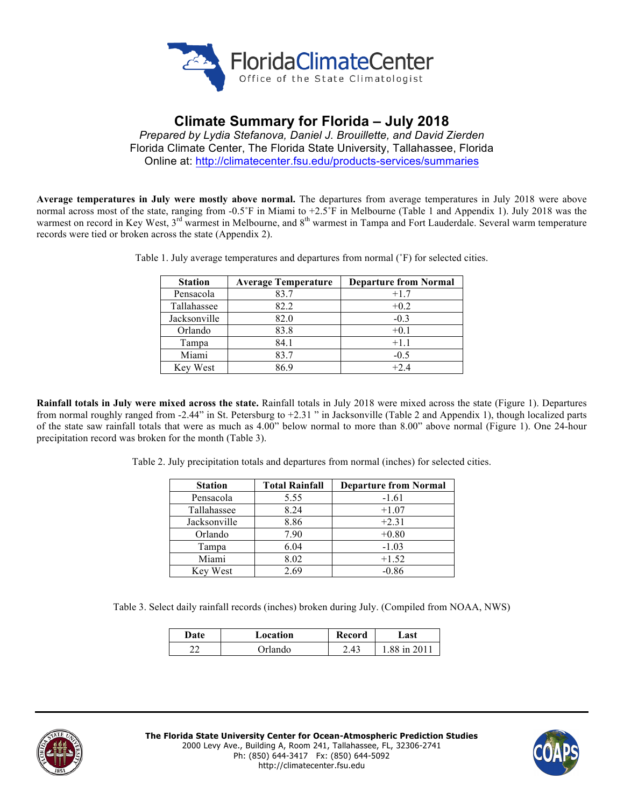

# **Climate Summary for Florida – July 2018**

*Prepared by Lydia Stefanova, Daniel J. Brouillette, and David Zierden* Florida Climate Center, The Florida State University, Tallahassee, Florida Online at: http://climatecenter.fsu.edu/products-services/summaries

**Average temperatures in July were mostly above normal.** The departures from average temperatures in July 2018 were above normal across most of the state, ranging from -0.5˚F in Miami to +2.5˚F in Melbourne (Table 1 and Appendix 1). July 2018 was the warmest on record in Key West, 3<sup>rd</sup> warmest in Melbourne, and 8<sup>th</sup> warmest in Tampa and Fort Lauderdale. Several warm temperature records were tied or broken across the state (Appendix 2).

| <b>Station</b> | <b>Average Temperature</b> | <b>Departure from Normal</b> |
|----------------|----------------------------|------------------------------|
| Pensacola      | 83.7                       | $+1.7$                       |
| Tallahassee    | 82.2                       | $+0.2$                       |
| Jacksonville   | 82.0                       | $-0.3$                       |
| Orlando        | 83.8                       | $+0.1$                       |
| Tampa          | 84.1                       | $+1.1$                       |
| Miami          | 83.7                       | $-0.5$                       |
| Key West       | 869                        | $+2.4$                       |

Table 1. July average temperatures and departures from normal (˚F) for selected cities.

**Rainfall totals in July were mixed across the state.** Rainfall totals in July 2018 were mixed across the state (Figure 1). Departures from normal roughly ranged from -2.44" in St. Petersburg to +2.31 " in Jacksonville (Table 2 and Appendix 1), though localized parts of the state saw rainfall totals that were as much as 4.00" below normal to more than 8.00" above normal (Figure 1). One 24-hour precipitation record was broken for the month (Table 3).

Table 2. July precipitation totals and departures from normal (inches) for selected cities.

| <b>Station</b> | <b>Total Rainfall</b> | <b>Departure from Normal</b> |
|----------------|-----------------------|------------------------------|
| Pensacola      | 5.55                  | $-1.61$                      |
| Tallahassee    | 8.24                  | $+1.07$                      |
| Jacksonville   | 8.86                  | $+2.31$                      |
| Orlando        | 7.90                  | $+0.80$                      |
| Tampa          | 6.04                  | $-1.03$                      |
| Miami          | 8.02                  | $+1.52$                      |
| Key West       | 2.69                  | $-0.86$                      |

Table 3. Select daily rainfall records (inches) broken during July. (Compiled from NOAA, NWS)

| Date | Location | Record | ast.       |
|------|----------|--------|------------|
| ົ    | Orlando  | 2.43   | 88 in 2011 |



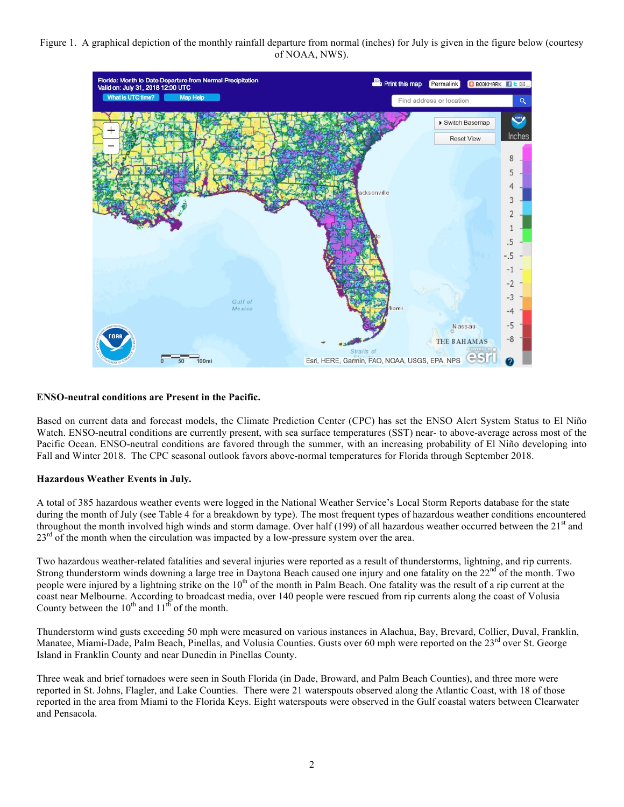# Figure 1. A graphical depiction of the monthly rainfall departure from normal (inches) for July is given in the figure below (courtesy of NOAA, NWS).



## **ENSO-neutral conditions are Present in the Pacific.**

Based on current data and forecast models, the Climate Prediction Center (CPC) has set the ENSO Alert System Status to El Niño Watch. ENSO-neutral conditions are currently present, with sea surface temperatures (SST) near- to above-average across most of the Pacific Ocean. ENSO-neutral conditions are favored through the summer, with an increasing probability of El Niño developing into Fall and Winter 2018. The CPC seasonal outlook favors above-normal temperatures for Florida through September 2018.

#### **Hazardous Weather Events in July.**

A total of 385 hazardous weather events were logged in the National Weather Service's Local Storm Reports database for the state during the month of July (see Table 4 for a breakdown by type). The most frequent types of hazardous weather conditions encountered throughout the month involved high winds and storm damage. Over half (199) of all hazardous weather occurred between the  $21<sup>st</sup>$  and  $23<sup>rd</sup>$  of the month when the circulation was impacted by a low-pressure system over the area.

Two hazardous weather-related fatalities and several injuries were reported as a result of thunderstorms, lightning, and rip currents. Strong thunderstorm winds downing a large tree in Daytona Beach caused one injury and one fatality on the  $22<sup>nd</sup>$  of the month. Two people were injured by a lightning strike on the  $10<sup>th</sup>$  of the month in Palm Beach. One fatality was the result of a rip current at the coast near Melbourne. According to broadcast media, over 140 people were rescued from rip currents along the coast of Volusia County between the  $10^{th}$  and  $11^{th}$  of the month.

Thunderstorm wind gusts exceeding 50 mph were measured on various instances in Alachua, Bay, Brevard, Collier, Duval, Franklin, Manatee, Miami-Dade, Palm Beach, Pinellas, and Volusia Counties. Gusts over 60 mph were reported on the  $23<sup>rd</sup>$  over St. George Island in Franklin County and near Dunedin in Pinellas County.

Three weak and brief tornadoes were seen in South Florida (in Dade, Broward, and Palm Beach Counties), and three more were reported in St. Johns, Flagler, and Lake Counties. There were 21 waterspouts observed along the Atlantic Coast, with 18 of those reported in the area from Miami to the Florida Keys. Eight waterspouts were observed in the Gulf coastal waters between Clearwater and Pensacola.